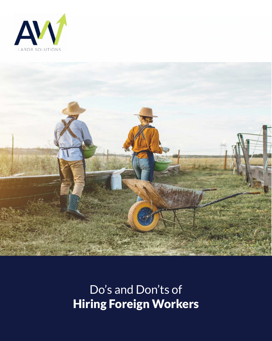



# Do's and Don'ts of Hiring Foreign Workers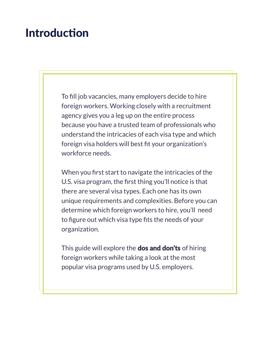### Introduction

To fill job vacancies, many employers decide to hire foreign workers. Working closely with a recruitment agency gives you a leg up on the entire process because you have a trusted team of professionals who understand the intricacies of each visa type and which foreign visa holders will best fit your organization's workforce needs.

When you first start to navigate the intricacies of the U.S. visa program, the first thing you'll notice is that there are several visa types. Each one has its own unique requirements and complexities. Before you can determine which foreign workers to hire, you'll need to figure out which visa type fits the needs of your organization.

This guide will explore the **dos and don'ts** of hiring foreign workers while taking a look at the most popular visa programs used by U.S. employers.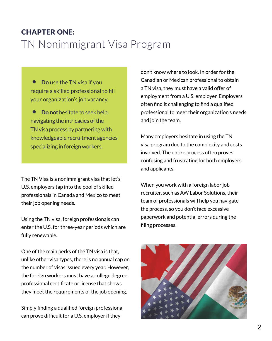### CHAPTER ONE: TN Nonimmigrant Visa Program

• Do use the TN visa if you require a skilled professional to fill your organization's job vacancy.

**Do not** hesitate to seek help navigating the intricacies of the TN visa process by partnering with knowledgeable recruitment agencies specializing in foreign workers.

The TN Visa is a nonimmigrant visa that let's U.S. employers tap into the pool of skilled professionals in Canada and Mexico to meet their job opening needs.

Using the TN visa, foreign professionals can enter the U.S. for three-year periods which are fully renewable.

One of the main perks of the TN visa is that, unlike other visa types, there is no annual cap on the number of visas issued every year. However, the foreign workers must have a college degree, professional certificate or license that shows they meet the requirements of the job opening.

Simply finding a qualified foreign professional can prove difficult for a U.S. employer if they

don't know where to look. In order for the Canadian or Mexican professional to obtain a TN visa, they must have a valid offer of employment from a U.S. employer. Employers often find it challenging to find a qualified professional to meet their organization's needs and join the team.

Many employers hesitate in using the TN visa program due to the complexity and costs involved. The entire process often proves confusing and frustrating for both employers and applicants.

When you work with a foreign labor job recruiter, such as AW Labor Solutions, their team of professionals will help you navigate the process, so you don't face excessive paperwork and potential errors during the filing processes.

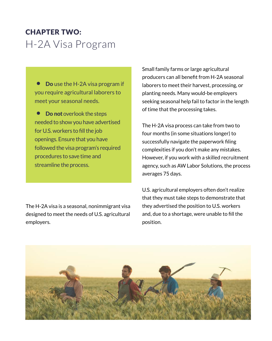### CHAPTER TWO: H-2A Visa Program

• Do use the H-2A visa program if you require agricultural laborers to meet your seasonal needs.

• Do not overlook the steps needed to show you have advertised for U.S. workers to fill the job openings. Ensure that you have followed the visa program's required procedures to save time and streamline the process.

The H-2A visa is a seasonal, nonimmigrant visa designed to meet the needs of U.S. agricultural employers.

Small family farms or large agricultural producers can all benefit from H-2A seasonal laborers to meet their harvest, processing, or planting needs. Many would-be employers seeking seasonal help fail to factor in the length of time that the processing takes.

The H-2A visa process can take from two to four months (in some situations longer) to successfully navigate the paperwork filing complexities if you don't make any mistakes. However, if you work with a skilled recruitment agency, such as AW Labor Solutions, the process averages 75 days.

U.S. agricultural employers often don't realize that they must take steps to demonstrate that they advertised the position to U.S. workers and, due to a shortage, were unable to fill the position.

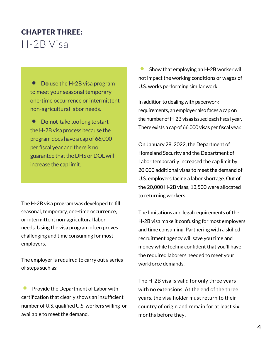### CHAPTER THREE: H-2B Visa

• Do use the H-2B visa program to meet your seasonal temporary one-time occurrence or intermittent non-agricultural labor needs.

• Do not take too long to start the H-2B visa process because the program does have a cap of 66,000 per fiscal year and there is no guarantee that the DHS or DOL will increase the cap limit.

The H-2B visa program was developed to fill seasonal, temporary, one-time occurrence, or intermittent non-agricultural labor needs. Using the visa program often proves challenging and time consuming for most employers.

The employer is required to carry out a series of steps such as:

• Provide the Department of Labor with certification that clearly shows an insufficient number of U.S. qualified U.S. workers willing or available to meet the demand.

• Show that employing an H-2B worker will not impact the working conditions or wages of U.S. works performing similar work.

In addition to dealing with paperwork requirements, an employer also faces a cap on the number of H-2B visas issued each fiscal year. There exists a cap of 66,000 visas per fiscal year.

On January 28, 2022, the Department of Homeland Security and the Department of Labor temporarily increased the cap limit by 20,000 additional visas to meet the demand of U.S. employers facing a labor shortage. Out of the 20,000 H-2B visas, 13,500 were allocated to returning workers.

The limitations and legal requirements of the H-2B visa make it confusing for most employers and time consuming. Partnering with a skilled recruitment agency will save you time and money while feeling confident that you'll have the required laborers needed to meet your workforce demands.

The H-2B visa is valid for only three years with no extensions. At the end of the three years, the visa holder must return to their country of origin and remain for at least six months before they.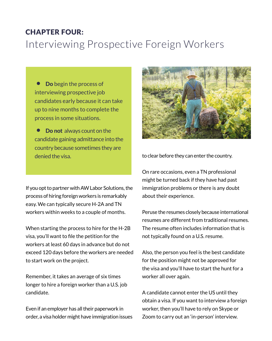#### CHAPTER FOUR:

# Interviewing Prospective Foreign Workers

• Do begin the process of interviewing prospective job candidates early because it can take up to nine months to complete the process in some situations.

**Do not** always count on the candidate gaining admittance into the country because sometimes they are denied the visa. to clear before they can enter the country.

If you opt to partner with AW Labor Solutions, the process of hiring foreign workers is remarkably easy. We can typically secure H-2A and TN workers within weeks to a couple of months.

When starting the process to hire for the H-2B visa, you'll want to file the petition for the workers at least 60 days in advance but do not exceed 120 days before the workers are needed to start work on the project.

Remember, it takes an average of six times longer to hire a foreign worker than a U.S. job candidate.

Even if an employer has all their paperwork in order, a visa holder might have immigration issues



On rare occasions, even a TN professional might be turned back if they have had past immigration problems or there is any doubt about their experience.

Peruse the resumes closely because international resumes are different from traditional resumes. The resume often includes information that is not typically found on a U.S. resume.

Also, the person you feel is the best candidate for the position might not be approved for the visa and you'll have to start the hunt for a worker all over again.

A candidate cannot enter the US until they obtain a visa. If you want to interview a foreign worker, then you'll have to rely on Skype or Zoom to carry out an 'in-person' interview.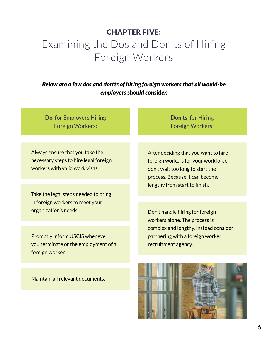#### CHAPTER FIVE:

# Examining the Dos and Don'ts of Hiring Foreign Workers

*Below are a few dos and don'ts of hiring foreign workers that all would-be employers should consider.*

Do for Employers Hiring Foreign Workers:

Always ensure that you take the necessary steps to hire legal foreign workers with valid work visas.

Take the legal steps needed to bring in foreign workers to meet your organization's needs.

Promptly inform USCIS whenever you terminate or the employment of a foreign worker.

Maintain all relevant documents.

Don'ts for Hiring Foreign Workers:

After deciding that you want to hire foreign workers for your workforce, don't wait too long to start the process. Because it can become lengthy from start to finish.

Don't handle hiring for foreign workers alone. The process is complex and lengthy. Instead consider partnering with a foreign worker recruitment agency.

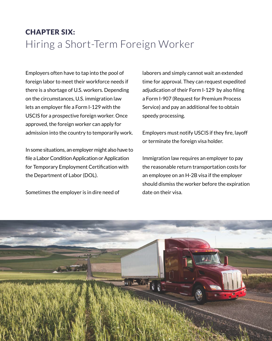### CHAPTER SIX: Hiring a Short-Term Foreign Worker

Employers often have to tap into the pool of foreign labor to meet their workforce needs if there is a shortage of U.S. workers. Depending on the circumstances, U.S. immigration law lets an employer file a Form I-129 with the USCIS for a prospective foreign worker. Once approved, the foreign worker can apply for admission into the country to temporarily work.

In some situations, an employer might also have to file a Labor Condition Application or Application for Temporary Employment Certification with the Department of Labor (DOL).

Sometimes the employer is in dire need of

laborers and simply cannot wait an extended time for approval. They can request expedited adjudication of their Form I-129 by also filing a Form I-907 (Request for Premium Process Service) and pay an additional fee to obtain speedy processing.

Employers must notify USCIS if they fire, layoff or terminate the foreign visa holder.

Immigration law requires an employer to pay the reasonable return transportation costs for an employee on an H-2B visa if the employer should dismiss the worker before the expiration date on their visa.

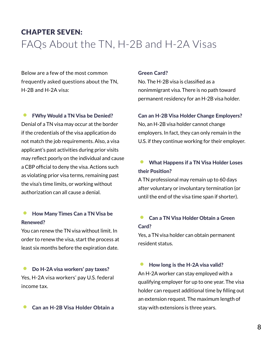### CHAPTER SEVEN: FAQs About the TN, H-2B and H-2A Visas

Below are a few of the most common frequently asked questions about the TN, H-2B and H-2A visa:

**• FWhy Would a TN Visa be Denied?** Denial of a TN visa may occur at the border if the credentials of the visa application do not match the job requirements. Also, a visa applicant's past activities during prior visits may reflect poorly on the individual and cause a CBP official to deny the visa. Actions such as violating prior visa terms, remaining past the visa's time limits, or working without authorization can all cause a denial.

#### • How Many Times Can a TN Visa be Renewed?

You can renew the TN visa without limit. In order to renew the visa, start the process at least six months before the expiration date.

• Do H-2A visa workers' pay taxes? Yes, H-2A visa workers' pay U.S. federal income tax.

#### • Can an H-2B Visa Holder Obtain a

#### Green Card?

No. The H-2B visa is classified as a nonimmigrant visa. There is no path toward permanent residency for an H-2B visa holder.

#### Can an H-2B Visa Holder Change Employers?

No, an H-2B visa holder cannot change employers. In fact, they can only remain in the U.S. if they continue working for their employer.

#### • What Happens if a TN Visa Holder Loses their Position?

A TN professional may remain up to 60 days after voluntary or involuntary termination (or until the end of the visa time span if shorter).

#### **• Can a TN Visa Holder Obtain a Green** Card?

Yes, a TN visa holder can obtain permanent resident status.

• How long is the H-2A visa valid? An H-2A worker can stay employed with a qualifying employer for up to one year. The visa holder can request additional time by filling out an extension request. The maximum length of stay with extensions is three years.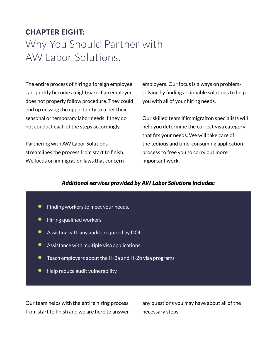### CHAPTER EIGHT: Why You Should Partner with AW Labor Solutions.

The entire process of hiring a foreign employee can quickly become a nightmare if an employer does not properly follow procedure. They could end up missing the opportunity to meet their seasonal or temporary labor needs if they do not conduct each of the steps accordingly.

Partnering with AW Labor Solutions streamlines the process from start to finish. We focus on immigration laws that concern

employers. Our focus is always on problemsolving by finding actionable solutions to help you with all of your hiring needs.

Our skilled team if immigraiton specialists will help you determine the correct visa category that fits your needs. We will take care of the tedious and time-consuming application process to free you to carry out more important work.

#### *Additional services provided by AW Labor Solutions includes:*

- **•** Finding workers to meet your needs.
- Hiring qualified workers
- Assisting with any audits required by DOL
- Assistance with multiple visa applications
- Teach employers about the H-2a and H-2b visa programs
- Help reduce audit vulnerability

Our team helps with the entire hiring process from start to finish and we are here to answer any questions you may have about all of the necessary steps.